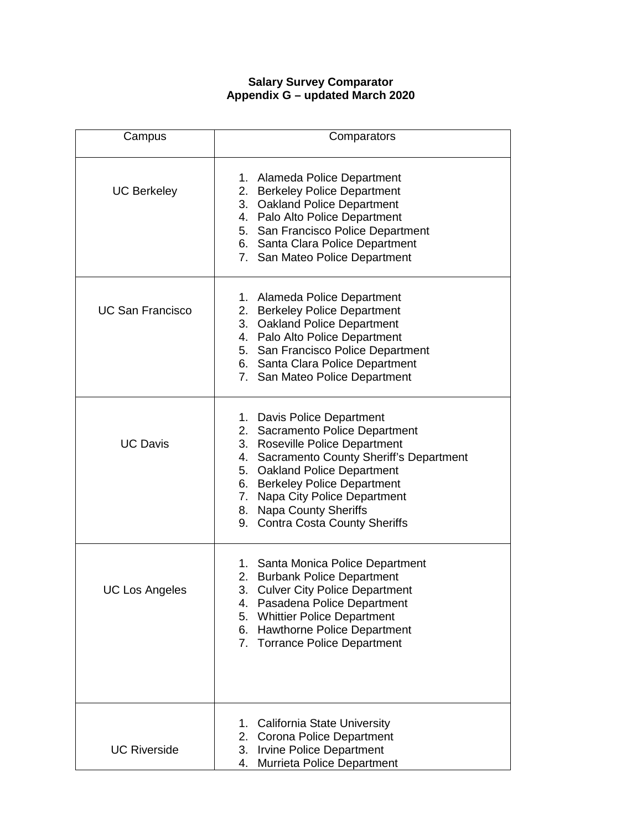## **Salary Survey Comparator Appendix G – updated March 2020**

| Campus                  | Comparators                                                                                                                                                                                                                                                                                                   |
|-------------------------|---------------------------------------------------------------------------------------------------------------------------------------------------------------------------------------------------------------------------------------------------------------------------------------------------------------|
| <b>UC Berkeley</b>      | 1. Alameda Police Department<br>2. Berkeley Police Department<br>3. Oakland Police Department<br>4. Palo Alto Police Department<br>5. San Francisco Police Department<br>6. Santa Clara Police Department<br>7. San Mateo Police Department                                                                   |
| <b>UC San Francisco</b> | 1. Alameda Police Department<br>2. Berkeley Police Department<br>3. Oakland Police Department<br>4. Palo Alto Police Department<br>5. San Francisco Police Department<br>6. Santa Clara Police Department<br>7. San Mateo Police Department                                                                   |
| <b>UC Davis</b>         | 1. Davis Police Department<br>2. Sacramento Police Department<br>3. Roseville Police Department<br>4. Sacramento County Sheriff's Department<br>5. Oakland Police Department<br>6. Berkeley Police Department<br>7. Napa City Police Department<br>8. Napa County Sheriffs<br>9. Contra Costa County Sheriffs |
| <b>UC Los Angeles</b>   | 1. Santa Monica Police Department<br>2. Burbank Police Department<br>3. Culver City Police Department<br>Pasadena Police Department<br>4.<br>5.<br><b>Whittier Police Department</b><br>6.<br>Hawthorne Police Department<br>7.<br><b>Torrance Police Department</b>                                          |
| <b>UC Riverside</b>     | California State University<br>1.<br>2.<br>Corona Police Department<br>3.<br>Irvine Police Department<br>Murrieta Police Department<br>4.                                                                                                                                                                     |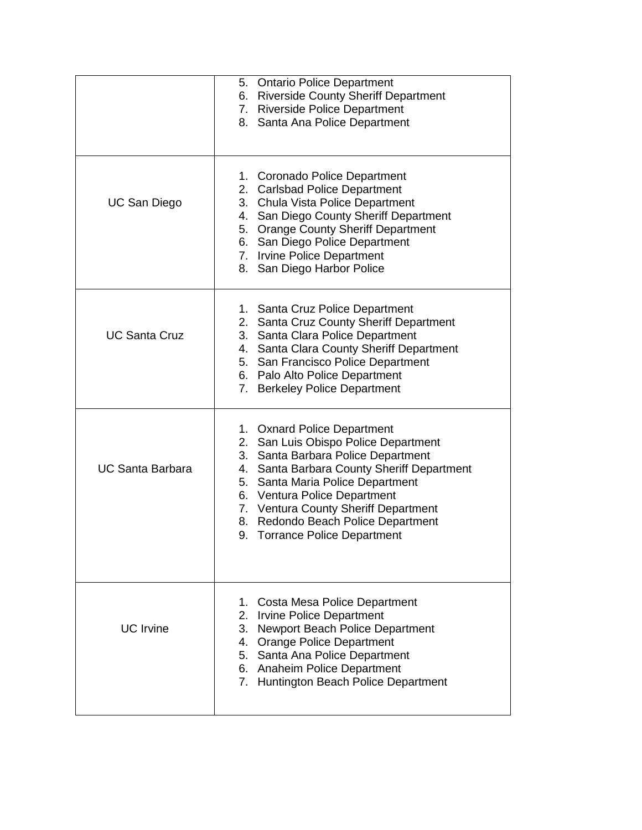|                         | 5. Ontario Police Department<br>6. Riverside County Sheriff Department<br>7. Riverside Police Department<br>8. Santa Ana Police Department                                                                                                                                                                                                 |
|-------------------------|--------------------------------------------------------------------------------------------------------------------------------------------------------------------------------------------------------------------------------------------------------------------------------------------------------------------------------------------|
| <b>UC San Diego</b>     | 1. Coronado Police Department<br>2. Carlsbad Police Department<br>3. Chula Vista Police Department<br>4. San Diego County Sheriff Department<br>5. Orange County Sheriff Department<br>6. San Diego Police Department<br>7. Irvine Police Department<br>San Diego Harbor Police<br>8.                                                      |
| <b>UC Santa Cruz</b>    | 1. Santa Cruz Police Department<br>2. Santa Cruz County Sheriff Department<br>3. Santa Clara Police Department<br>4. Santa Clara County Sheriff Department<br>5. San Francisco Police Department<br>6. Palo Alto Police Department<br>7. Berkeley Police Department                                                                        |
| <b>UC Santa Barbara</b> | 1. Oxnard Police Department<br>2. San Luis Obispo Police Department<br>3. Santa Barbara Police Department<br>4. Santa Barbara County Sheriff Department<br>5. Santa Maria Police Department<br>6. Ventura Police Department<br>7. Ventura County Sheriff Department<br>8. Redondo Beach Police Department<br>9. Torrance Police Department |
| <b>UC</b> Irvine        | Costa Mesa Police Department<br>1.<br>2.<br><b>Irvine Police Department</b><br>3.<br>Newport Beach Police Department<br>4. Orange Police Department<br>5. Santa Ana Police Department<br>6. Anaheim Police Department<br>7. Huntington Beach Police Department                                                                             |